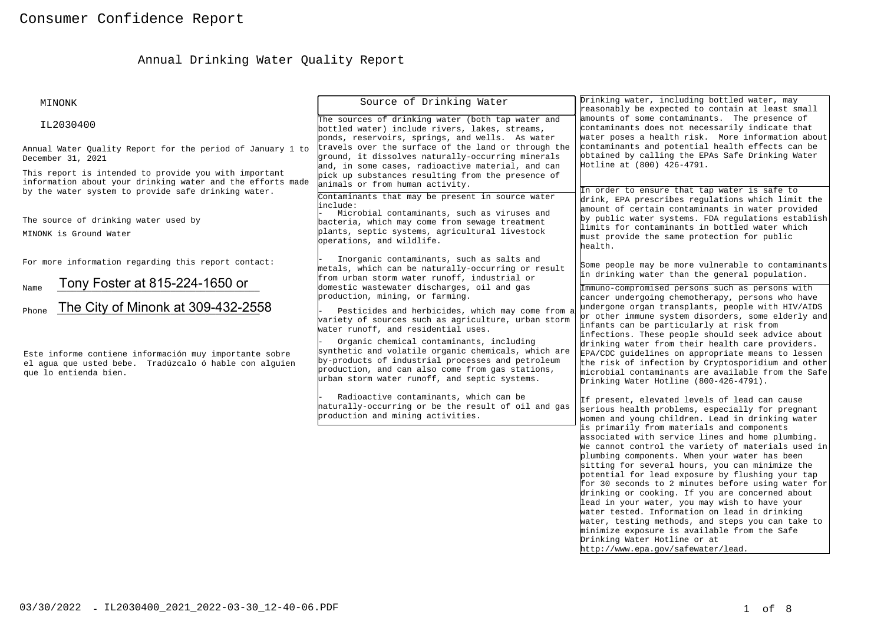# Annual Drinking Water Quality Report

| MINONK                                                                                                                                                                     | Source of Drinking Water                                                                                                                                                                                                                                  | Drinking water, including bottled water, may<br>reasonably be expected to contain at least small                                                                                                                                                                                                                                                                                                                                                                                                                                                                                                                                                                                                                                                                                                                                                            |  |  |
|----------------------------------------------------------------------------------------------------------------------------------------------------------------------------|-----------------------------------------------------------------------------------------------------------------------------------------------------------------------------------------------------------------------------------------------------------|-------------------------------------------------------------------------------------------------------------------------------------------------------------------------------------------------------------------------------------------------------------------------------------------------------------------------------------------------------------------------------------------------------------------------------------------------------------------------------------------------------------------------------------------------------------------------------------------------------------------------------------------------------------------------------------------------------------------------------------------------------------------------------------------------------------------------------------------------------------|--|--|
| IL2030400                                                                                                                                                                  | The sources of drinking water (both tap water and<br>bottled water) include rivers, lakes, streams,<br>ponds, reservoirs, springs, and wells. As water                                                                                                    | amounts of some contaminants. The presence of<br>contaminants does not necessarily indicate that<br>water poses a health risk. More information about<br>contaminants and potential health effects can be<br>obtained by calling the EPAs Safe Drinking Water<br>Hotline at (800) 426-4791.                                                                                                                                                                                                                                                                                                                                                                                                                                                                                                                                                                 |  |  |
| Annual Water Quality Report for the period of January 1 to<br>December 31, 2021                                                                                            | travels over the surface of the land or through the<br>ground, it dissolves naturally-occurring minerals<br>and, in some cases, radioactive material, and can                                                                                             |                                                                                                                                                                                                                                                                                                                                                                                                                                                                                                                                                                                                                                                                                                                                                                                                                                                             |  |  |
| This report is intended to provide you with important<br>information about your drinking water and the efforts made<br>by the water system to provide safe drinking water. | pick up substances resulting from the presence of<br>animals or from human activity.<br>Contaminants that may be present in source water                                                                                                                  | In order to ensure that tap water is safe to<br>drink, EPA prescribes regulations which limit the<br>amount of certain contaminants in water provided<br>by public water systems. FDA requlations establish<br>limits for contaminants in bottled water which<br>must provide the same protection for public<br>health.                                                                                                                                                                                                                                                                                                                                                                                                                                                                                                                                     |  |  |
| The source of drinking water used by<br>MINONK is Ground Water                                                                                                             | include:<br>Microbial contaminants, such as viruses and<br>bacteria, which may come from sewage treatment<br>plants, septic systems, agricultural livestock<br>operations, and wildlife.                                                                  |                                                                                                                                                                                                                                                                                                                                                                                                                                                                                                                                                                                                                                                                                                                                                                                                                                                             |  |  |
| For more information regarding this report contact:                                                                                                                        | Inorganic contaminants, such as salts and<br>metals, which can be naturally-occurring or result<br>from urban storm water runoff, industrial or                                                                                                           | Some people may be more vulnerable to contaminants<br>in drinking water than the general population.                                                                                                                                                                                                                                                                                                                                                                                                                                                                                                                                                                                                                                                                                                                                                        |  |  |
| Tony Foster at 815-224-1650 or<br>Name<br>The City of Minonk at 309-432-2558<br>Phone                                                                                      | domestic wastewater discharges, oil and gas<br>production, mining, or farming.<br>Pesticides and herbicides, which may come from a<br>variety of sources such as agriculture, urban storm<br>water runoff, and residential uses.                          | Immuno-compromised persons such as persons with<br>cancer undergoing chemotherapy, persons who have<br>undergone organ transplants, people with HIV/AIDS<br>or other immune system disorders, some elderly and<br>infants can be particularly at risk from<br>infections. These people should seek advice about<br>drinking water from their health care providers.<br>EPA/CDC guidelines on appropriate means to lessen<br>the risk of infection by Cryptosporidium and other<br>microbial contaminants are available from the Safe<br>Drinking Water Hotline (800-426-4791).                                                                                                                                                                                                                                                                              |  |  |
| Este informe contiene información muy importante sobre<br>el agua que usted bebe. Tradúzcalo ó hable con alguien<br>que lo entienda bien.                                  | Organic chemical contaminants, including<br>synthetic and volatile organic chemicals, which are<br>by-products of industrial processes and petroleum<br>production, and can also come from gas stations,<br>urban storm water runoff, and septic systems. |                                                                                                                                                                                                                                                                                                                                                                                                                                                                                                                                                                                                                                                                                                                                                                                                                                                             |  |  |
|                                                                                                                                                                            | Radioactive contaminants, which can be<br>haturally-occurring or be the result of oil and gas<br>production and mining activities.                                                                                                                        | If present, elevated levels of lead can cause<br>serious health problems, especially for pregnant<br>women and young children. Lead in drinking water<br>is primarily from materials and components<br>associated with service lines and home plumbing.<br>We cannot control the variety of materials used in<br>plumbing components. When your water has been<br>sitting for several hours, you can minimize the<br>potential for lead exposure by flushing your tap<br>for 30 seconds to 2 minutes before using water for<br>drinking or cooking. If you are concerned about<br>lead in your water, you may wish to have your<br>water tested. Information on lead in drinking<br>water, testing methods, and steps you can take to<br>minimize exposure is available from the Safe<br>Drinking Water Hotline or at<br>http://www.epa.gov/safewater/lead. |  |  |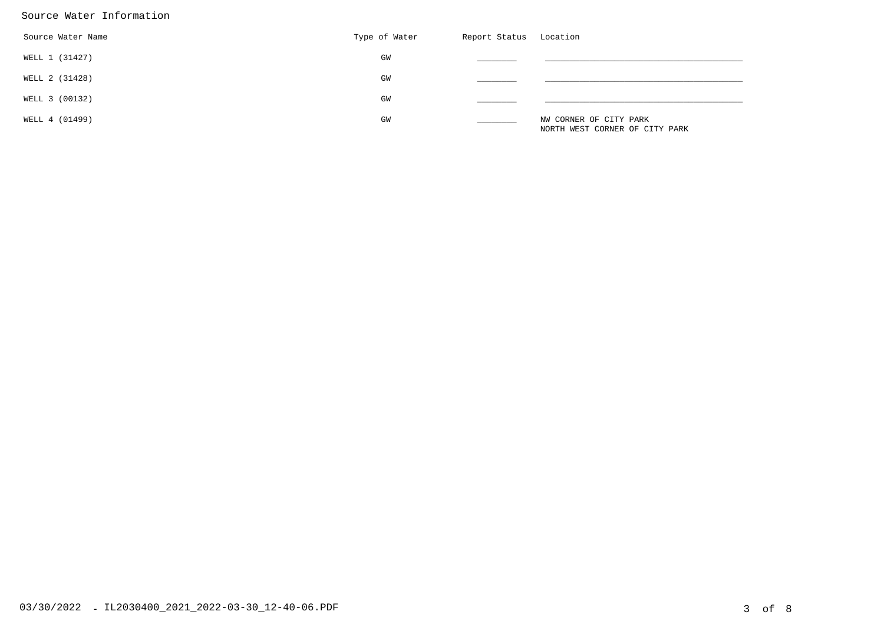## Source Water Information

| Source Water Name | Type of Water | Report Status | Location                                                 |
|-------------------|---------------|---------------|----------------------------------------------------------|
| WELL 1 (31427)    | GM            |               |                                                          |
| WELL 2 (31428)    | GW            |               |                                                          |
| WELL 3 (00132)    | GM            |               |                                                          |
| WELL 4 (01499)    | GW            |               | NW CORNER OF CITY PARK<br>NORTH WEST CORNER OF CITY PARK |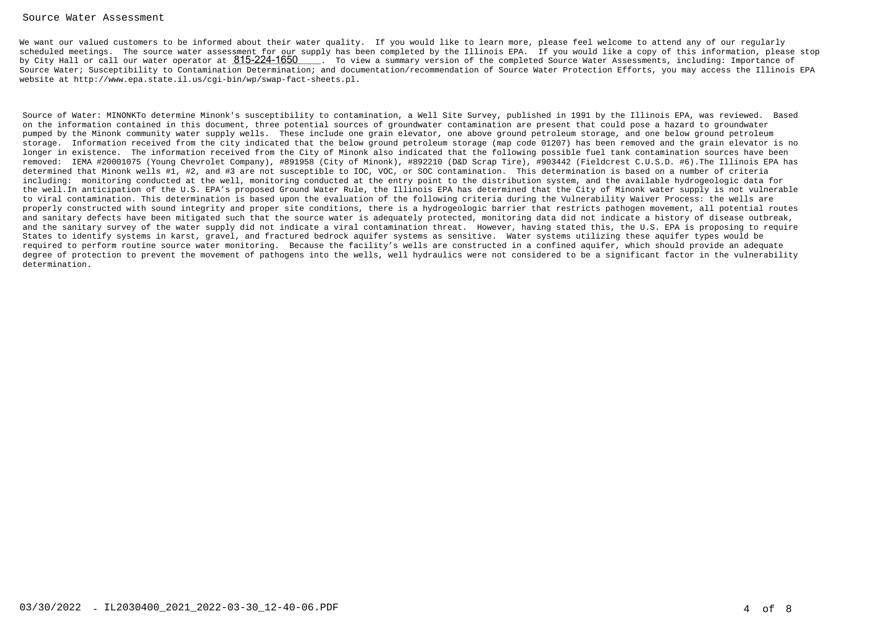### Source Water Assessment

We want our valued customers to be informed about their water quality. If you would like to learn more, please feel welcome to attend any of our regularly scheduled meetings. The source water assessment for our supply has been completed by the Illinois EPA. If you would like a copy of this information, please stopby City Hall or call our water operator at  $815$ - $224$ - $1650$   $\;$  . To view a summary version of the completed Source Water Assessments, including: Importance of Source Water; Susceptibility to Contamination Determination; and documentation/recommendation of Source Water Protection Efforts, you may access the Illinois EPAwebsite at http://www.epa.state.il.us/cgi-bin/wp/swap-fact-sheets.pl.

Source of Water: MINONKTo determine Minonk's susceptibility to contamination, a Well Site Survey, published in 1991 by the Illinois EPA, was reviewed. Basedon the information contained in this document, three potential sources of groundwater contamination are present that could pose a hazard to groundwater pumped by the Minonk community water supply wells. These include one grain elevator, one above ground petroleum storage, and one below ground petroleum storage. Information received from the city indicated that the below ground petroleum storage (map code 01207) has been removed and the grain elevator is nolonger in existence. The information received from the City of Minonk also indicated that the following possible fuel tank contamination sources have been removed: IEMA #20001075 (Young Chevrolet Company), #891958 (City of Minonk), #892210 (D&D Scrap Tire), #903442 (Fieldcrest C.U.S.D. #6).The Illinois EPA hasdetermined that Minonk wells #1, #2, and #3 are not susceptible to IOC, VOC, or SOC contamination. This determination is based on a number of criteria including: monitoring conducted at the well, monitoring conducted at the entry point to the distribution system, and the available hydrogeologic data for the well.In anticipation of the U.S. EPA's proposed Ground Water Rule, the Illinois EPA has determined that the City of Minonk water supply is not vulnerableto viral contamination. This determination is based upon the evaluation of the following criteria during the Vulnerability Waiver Process: the wells are properly constructed with sound integrity and proper site conditions, there is a hydrogeologic barrier that restricts pathogen movement, all potential routes and sanitary defects have been mitigated such that the source water is adequately protected, monitoring data did not indicate a history of disease outbreak, and the sanitary survey of the water supply did not indicate a viral contamination threat. However, having stated this, the U.S. EPA is proposing to requireStates to identify systems in karst, gravel, and fractured bedrock aquifer systems as sensitive. Water systems utilizing these aquifer types would be required to perform routine source water monitoring. Because the facility's wells are constructed in a confined aquifer, which should provide an adequate degree of protection to prevent the movement of pathogens into the wells, well hydraulics were not considered to be a significant factor in the vulnerabilitydetermination.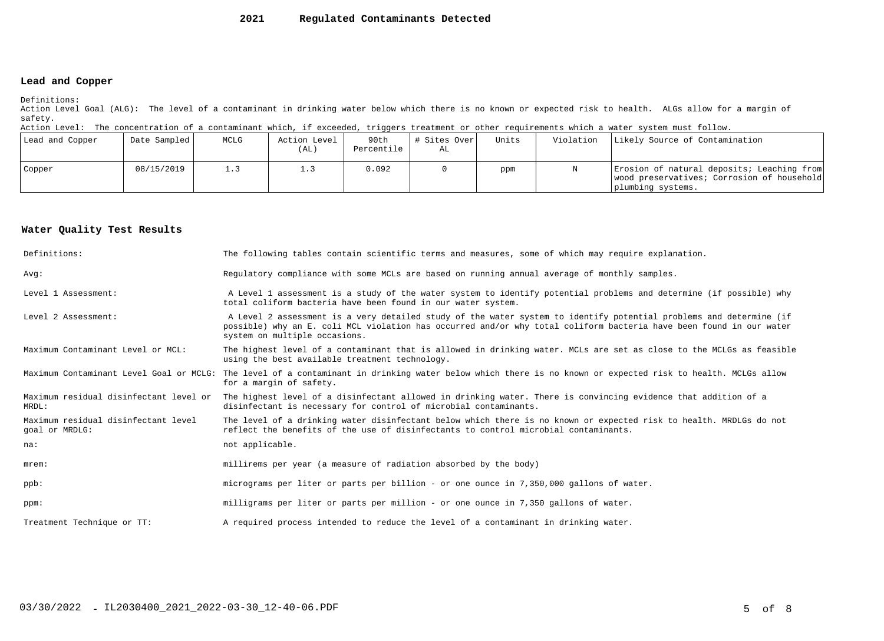#### **2021Regulated Contaminants Detected**

### **Lead and Copper**

Definitions:

 Action Level Goal (ALG): The level of a contaminant in drinking water below which there is no known or expected risk to health. ALGs allow for a margin ofsafety.

Action Level: The concentration of a contaminant which, if exceeded, triggers treatment or other requirements which a water system must follow.

| Lead and Copper | Date Sampled | MCLG       | Action Level<br>(AL) | 90th<br>Percentile | # Sites Over<br>AL | Units | Violation | Likely Source of Contamination                                                                                |
|-----------------|--------------|------------|----------------------|--------------------|--------------------|-------|-----------|---------------------------------------------------------------------------------------------------------------|
| Copper          | 08/15/2019   | $\perp$ .3 |                      | ,092               |                    | ppm   |           | Erosion of natural deposits; Leaching from<br>wood preservatives; Corrosion of household<br>plumbing systems. |

### **Water Quality Test Results**

| Definitions:                                          | The following tables contain scientific terms and measures, some of which may require explanation.                                                                                                                                                                         |
|-------------------------------------------------------|----------------------------------------------------------------------------------------------------------------------------------------------------------------------------------------------------------------------------------------------------------------------------|
| Avq:                                                  | Requlatory compliance with some MCLs are based on running annual average of monthly samples.                                                                                                                                                                               |
| Level 1 Assessment:                                   | A Level 1 assessment is a study of the water system to identify potential problems and determine (if possible) why<br>total coliform bacteria have been found in our water system.                                                                                         |
| Level 2 Assessment:                                   | A Level 2 assessment is a very detailed study of the water system to identify potential problems and determine (if<br>possible) why an E. coli MCL violation has occurred and/or why total coliform bacteria have been found in our water<br>system on multiple occasions. |
| Maximum Contaminant Level or MCL:                     | The highest level of a contaminant that is allowed in drinking water. MCLs are set as close to the MCLGs as feasible<br>using the best available treatment technology.                                                                                                     |
| Maximum Contaminant Level Goal or MCLG:               | The level of a contaminant in drinking water below which there is no known or expected risk to health. MCLGs allow<br>for a margin of safety.                                                                                                                              |
| Maximum residual disinfectant level or<br>MRDL:       | The highest level of a disinfectant allowed in drinking water. There is convincing evidence that addition of a<br>disinfectant is necessary for control of microbial contaminants.                                                                                         |
| Maximum residual disinfectant level<br>goal or MRDLG: | The level of a drinking water disinfectant below which there is no known or expected risk to health. MRDLGs do not<br>reflect the benefits of the use of disinfectants to control microbial contaminants.                                                                  |
| na:                                                   | not applicable.                                                                                                                                                                                                                                                            |
| $m$ rem:                                              | millirems per year (a measure of radiation absorbed by the body)                                                                                                                                                                                                           |
| $ppb$ :                                               | micrograms per liter or parts per billion - or one ounce in 7,350,000 gallons of water.                                                                                                                                                                                    |
| ppm:                                                  | milligrams per liter or parts per million - or one ounce in 7,350 gallons of water.                                                                                                                                                                                        |
| Treatment Technique or TT:                            | A required process intended to reduce the level of a contaminant in drinking water.                                                                                                                                                                                        |